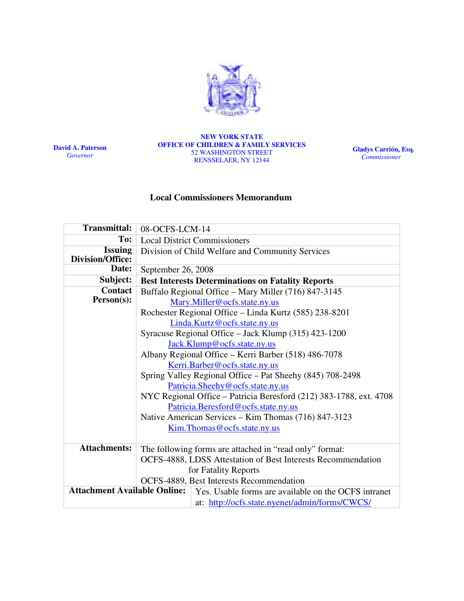

David A. Paterson Governor

#### NEW YORK STATE OFFICE OF CHILDREN & FAMILY SERVICES 52 WASHINGTON STREET RENSSELAER, NY 12144

Gladys Carrión, Esq. **Commissioner** 

# Local Commissioners Memorandum

| <b>Transmittal:</b>                                                                         | 08-OCFS-LCM-14                                                     |
|---------------------------------------------------------------------------------------------|--------------------------------------------------------------------|
| To:                                                                                         | <b>Local District Commissioners</b>                                |
| <b>Issuing</b><br><b>Division/Office:</b>                                                   | Division of Child Welfare and Community Services                   |
| Date:                                                                                       | September 26, 2008                                                 |
| Subject:                                                                                    | <b>Best Interests Determinations on Fatality Reports</b>           |
| <b>Contact</b>                                                                              | Buffalo Regional Office - Mary Miller (716) 847-3145               |
| Person(s):                                                                                  | Mary.Miller@ocfs.state.ny.us                                       |
|                                                                                             | Rochester Regional Office – Linda Kurtz (585) 238-8201             |
|                                                                                             | Linda.Kurtz@ocfs.state.ny.us                                       |
|                                                                                             | Syracuse Regional Office – Jack Klump (315) 423-1200               |
|                                                                                             | Jack.Klump@ocfs.state.ny.us                                        |
|                                                                                             | Albany Regional Office - Kerri Barber (518) 486-7078               |
|                                                                                             | Kerri.Barber@ocfs.state.ny.us                                      |
|                                                                                             | Spring Valley Regional Office – Pat Sheehy (845) 708-2498          |
|                                                                                             | Patricia.Sheehy@ocfs.state.ny.us                                   |
|                                                                                             | NYC Regional Office - Patricia Beresford (212) 383-1788, ext. 4708 |
|                                                                                             | Patricia.Beresford@ocfs.state.ny.us                                |
|                                                                                             | Native American Services – Kim Thomas (716) 847-3123               |
|                                                                                             | Kim. Thomas @ ocfs.state.ny.us                                     |
|                                                                                             |                                                                    |
| <b>Attachments:</b>                                                                         | The following forms are attached in "read only" format:            |
|                                                                                             | OCFS-4888, LDSS Attestation of Best Interests Recommendation       |
|                                                                                             | for Fatality Reports                                               |
|                                                                                             | OCFS-4889, Best Interests Recommendation                           |
| <b>Attachment Available Online:</b><br>Yes. Usable forms are available on the OCFS intranet |                                                                    |
|                                                                                             | at: http://ocfs.state.nyenet/admin/forms/CWCS/                     |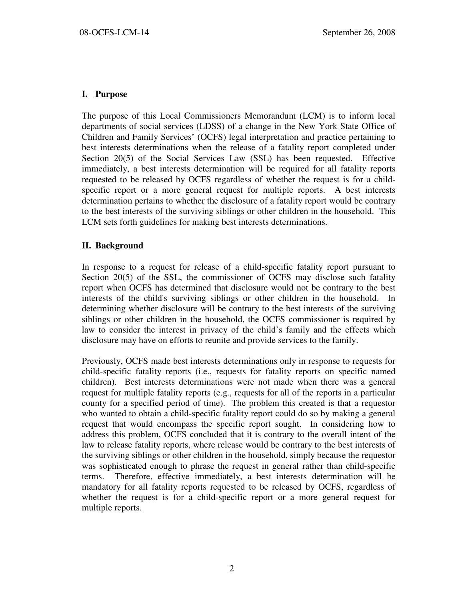### I. Purpose

The purpose of this Local Commissioners Memorandum (LCM) is to inform local departments of social services (LDSS) of a change in the New York State Office of Children and Family Services' (OCFS) legal interpretation and practice pertaining to best interests determinations when the release of a fatality report completed under Section 20(5) of the Social Services Law (SSL) has been requested. Effective immediately, a best interests determination will be required for all fatality reports requested to be released by OCFS regardless of whether the request is for a childspecific report or a more general request for multiple reports. A best interests determination pertains to whether the disclosure of a fatality report would be contrary to the best interests of the surviving siblings or other children in the household. This LCM sets forth guidelines for making best interests determinations.

# II. Background

In response to a request for release of a child-specific fatality report pursuant to Section 20(5) of the SSL, the commissioner of OCFS may disclose such fatality report when OCFS has determined that disclosure would not be contrary to the best interests of the child's surviving siblings or other children in the household. In determining whether disclosure will be contrary to the best interests of the surviving siblings or other children in the household, the OCFS commissioner is required by law to consider the interest in privacy of the child's family and the effects which disclosure may have on efforts to reunite and provide services to the family.

Previously, OCFS made best interests determinations only in response to requests for child-specific fatality reports (i.e., requests for fatality reports on specific named children). Best interests determinations were not made when there was a general request for multiple fatality reports (e.g., requests for all of the reports in a particular county for a specified period of time). The problem this created is that a requestor who wanted to obtain a child-specific fatality report could do so by making a general request that would encompass the specific report sought. In considering how to address this problem, OCFS concluded that it is contrary to the overall intent of the law to release fatality reports, where release would be contrary to the best interests of the surviving siblings or other children in the household, simply because the requestor was sophisticated enough to phrase the request in general rather than child-specific terms. Therefore, effective immediately, a best interests determination will be mandatory for all fatality reports requested to be released by OCFS, regardless of whether the request is for a child-specific report or a more general request for multiple reports.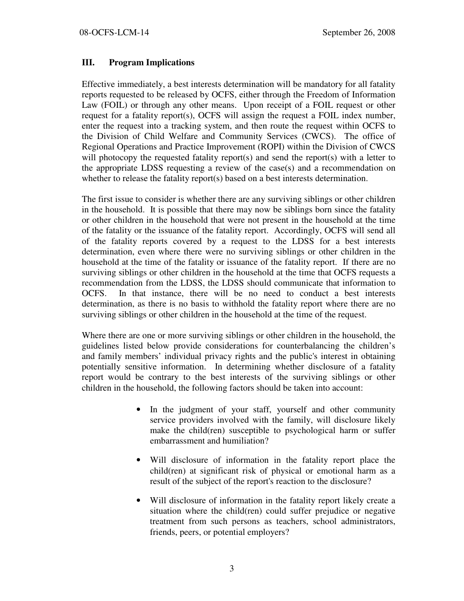# III. Program Implications

Effective immediately, a best interests determination will be mandatory for all fatality reports requested to be released by OCFS, either through the Freedom of Information Law (FOIL) or through any other means. Upon receipt of a FOIL request or other request for a fatality report(s), OCFS will assign the request a FOIL index number, enter the request into a tracking system, and then route the request within OCFS to the Division of Child Welfare and Community Services (CWCS). The office of Regional Operations and Practice Improvement (ROPI) within the Division of CWCS will photocopy the requested fatality report(s) and send the report(s) with a letter to the appropriate LDSS requesting a review of the case(s) and a recommendation on whether to release the fatality report(s) based on a best interests determination.

The first issue to consider is whether there are any surviving siblings or other children in the household. It is possible that there may now be siblings born since the fatality or other children in the household that were not present in the household at the time of the fatality or the issuance of the fatality report. Accordingly, OCFS will send all of the fatality reports covered by a request to the LDSS for a best interests determination, even where there were no surviving siblings or other children in the household at the time of the fatality or issuance of the fatality report. If there are no surviving siblings or other children in the household at the time that OCFS requests a recommendation from the LDSS, the LDSS should communicate that information to OCFS. In that instance, there will be no need to conduct a best interests determination, as there is no basis to withhold the fatality report where there are no surviving siblings or other children in the household at the time of the request.

Where there are one or more surviving siblings or other children in the household, the guidelines listed below provide considerations for counterbalancing the children's and family members' individual privacy rights and the public's interest in obtaining potentially sensitive information. In determining whether disclosure of a fatality report would be contrary to the best interests of the surviving siblings or other children in the household, the following factors should be taken into account:

- In the judgment of your staff, yourself and other community service providers involved with the family, will disclosure likely make the child(ren) susceptible to psychological harm or suffer embarrassment and humiliation?
- Will disclosure of information in the fatality report place the child(ren) at significant risk of physical or emotional harm as a result of the subject of the report's reaction to the disclosure?
- Will disclosure of information in the fatality report likely create a situation where the child(ren) could suffer prejudice or negative treatment from such persons as teachers, school administrators, friends, peers, or potential employers?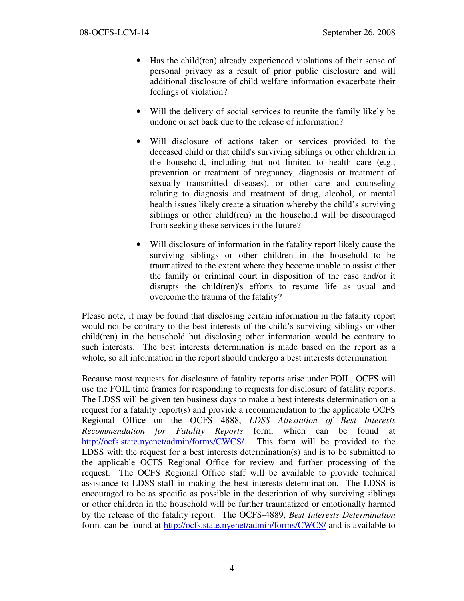- Has the child(ren) already experienced violations of their sense of personal privacy as a result of prior public disclosure and will additional disclosure of child welfare information exacerbate their feelings of violation?
- Will the delivery of social services to reunite the family likely be undone or set back due to the release of information?
- Will disclosure of actions taken or services provided to the deceased child or that child's surviving siblings or other children in the household, including but not limited to health care (e.g., prevention or treatment of pregnancy, diagnosis or treatment of sexually transmitted diseases), or other care and counseling relating to diagnosis and treatment of drug, alcohol, or mental health issues likely create a situation whereby the child's surviving siblings or other child(ren) in the household will be discouraged from seeking these services in the future?
- Will disclosure of information in the fatality report likely cause the surviving siblings or other children in the household to be traumatized to the extent where they become unable to assist either the family or criminal court in disposition of the case and/or it disrupts the child(ren)'s efforts to resume life as usual and overcome the trauma of the fatality?

Please note, it may be found that disclosing certain information in the fatality report would not be contrary to the best interests of the child's surviving siblings or other child(ren) in the household but disclosing other information would be contrary to such interests. The best interests determination is made based on the report as a whole, so all information in the report should undergo a best interests determination.

Because most requests for disclosure of fatality reports arise under FOIL, OCFS will use the FOIL time frames for responding to requests for disclosure of fatality reports. The LDSS will be given ten business days to make a best interests determination on a request for a fatality report(s) and provide a recommendation to the applicable OCFS Regional Office on the OCFS 4888, LDSS Attestation of Best Interests Recommendation for Fatality Reports form, which can be found at http://ocfs.state.nyenet/admin/forms/CWCS/. This form will be provided to the LDSS with the request for a best interests determination(s) and is to be submitted to the applicable OCFS Regional Office for review and further processing of the request. The OCFS Regional Office staff will be available to provide technical assistance to LDSS staff in making the best interests determination. The LDSS is encouraged to be as specific as possible in the description of why surviving siblings or other children in the household will be further traumatized or emotionally harmed by the release of the fatality report. The OCFS-4889, Best Interests Determination form, can be found at http://ocfs.state.nyenet/admin/forms/CWCS/ and is available to